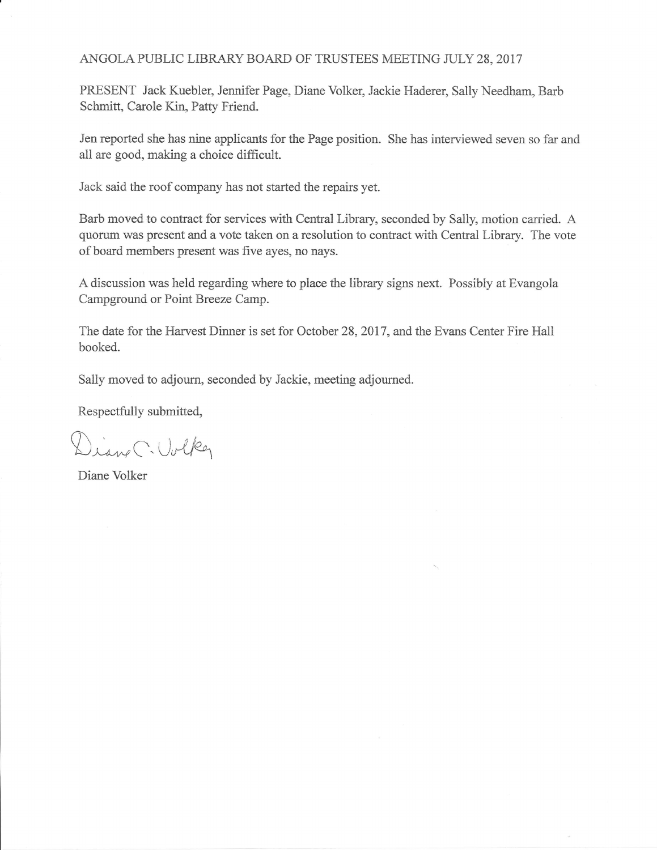## ANGOLA PUBLIC LIBRARY BOARD OF TRUSTEES MEETING JULY 28, 2017

PRESENT Jack Kuebler, Jennifer Page, Diane Volker, Jackie Haderer, Sally Needham, Barb Schmitt, Carole Kin, Patty Friend.

Jen reported she has nine applicants for the Page position. She has interviewed seven so far and all are good, making a choice difficult.

Jack said the roof company has not started the repairs yet.

Barb moved to contract for services with Central Library, seconded by Sally, motion carried. A quorum was present and a vote taken on a resolution to contract with Central Library. The vote of board members present was five ayes, no nays.

A discussion was held regarding where to place the library signs next. Possibly at Evangola Campground or Point Breeze Camp.

The date for the Hawest Dinner is set for October 28.2017. and the Evans Center Fire Hall booked.

Sally moved to adjourn, seconded by Jackie, meeting adjourned.

Respectfully submitted,

Diane C. Volker

Diane Volker